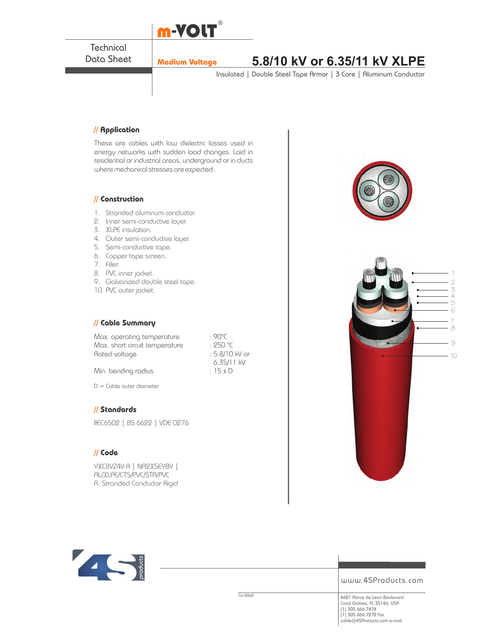

**Technical** Data Sheet

# **Medium Voltage 5.8/10 kV or 6.35/11 kV XLPE**

Insulated | Double Steel Tape Armor | 3 Core | Aluminum Conductor

## **// Application**

These are cables with low dielectric losses used in energy networks with sudden load changes. Laid in residential or industrial areas, underground or in ducts where mechanical stresses are expected.

#### **// Construction**

- 1. Stranded aluminum conductor.
- 2. Inner semi-conductive layer.
- 3. XLPE insulation.
- 4. Outer semi-conductive layer.
- 5. Semi-conductive tape.
- 6. Copper tape screen.
- 7. Filler.
- 8. PVC inner jacket.
- 9. Galvanized double steel tape.
- 10. PVC outer jacket.

## **// Cable Summary**

Max. operating temperature : 90°C<br>Max. short circuit temperature : 250 °C Max. short circuit temperature : 250 °C<br>Rated voltage : 5.8/10 kV or Rated voltage Min. bending radius

6.35/11 kV<br>: 15 x D

D = Cable outer diameter

## **// Standards**

IIEC6502 | BS 6622 | VDE 0276

### **// Code**

YXC8VZ4V-R | NA2XSEYBY | AL/XLPE/CTS/PVC/STA/PVC R: Stranded Conductor Rigid





### www.4SProducts.com